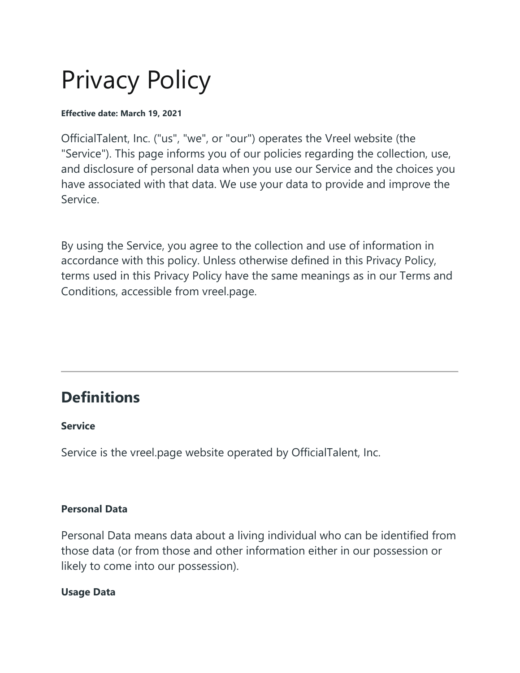# Privacy Policy

#### **Effective date: March 19, 2021**

OfficialTalent, Inc. ("us", "we", or "our") operates the Vreel website (the "Service"). This page informs you of our policies regarding the collection, use, and disclosure of personal data when you use our Service and the choices you have associated with that data. We use your data to provide and improve the Service.

By using the Service, you agree to the collection and use of information in accordance with this policy. Unless otherwise defined in this Privacy Policy, terms used in this Privacy Policy have the same meanings as in our Terms and Conditions, accessible from vreel.page.

### **Definitions**

#### **Service**

Service is the vreel.page website operated by OfficialTalent, Inc.

#### **Personal Data**

Personal Data means data about a living individual who can be identified from those data (or from those and other information either in our possession or likely to come into our possession).

#### **Usage Data**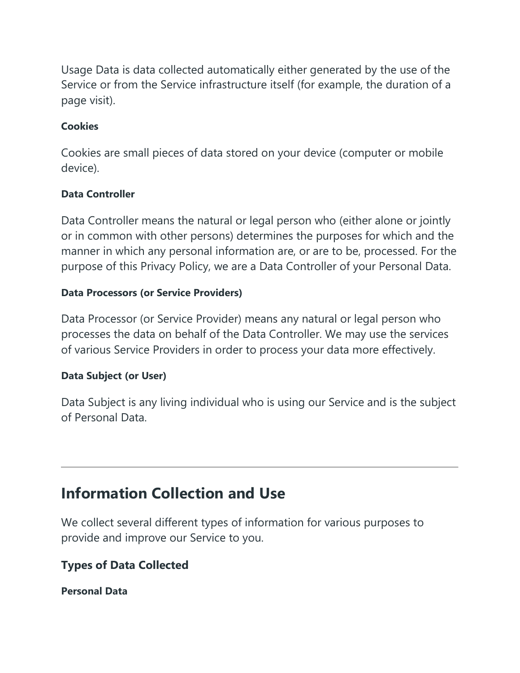Usage Data is data collected automatically either generated by the use of the Service or from the Service infrastructure itself (for example, the duration of a page visit).

#### **Cookies**

Cookies are small pieces of data stored on your device (computer or mobile device).

#### **Data Controller**

Data Controller means the natural or legal person who (either alone or jointly or in common with other persons) determines the purposes for which and the manner in which any personal information are, or are to be, processed. For the purpose of this Privacy Policy, we are a Data Controller of your Personal Data.

#### **Data Processors (or Service Providers)**

Data Processor (or Service Provider) means any natural or legal person who processes the data on behalf of the Data Controller. We may use the services of various Service Providers in order to process your data more effectively.

#### **Data Subject (or User)**

Data Subject is any living individual who is using our Service and is the subject of Personal Data.

### **Information Collection and Use**

We collect several different types of information for various purposes to provide and improve our Service to you.

#### **Types of Data Collected**

**Personal Data**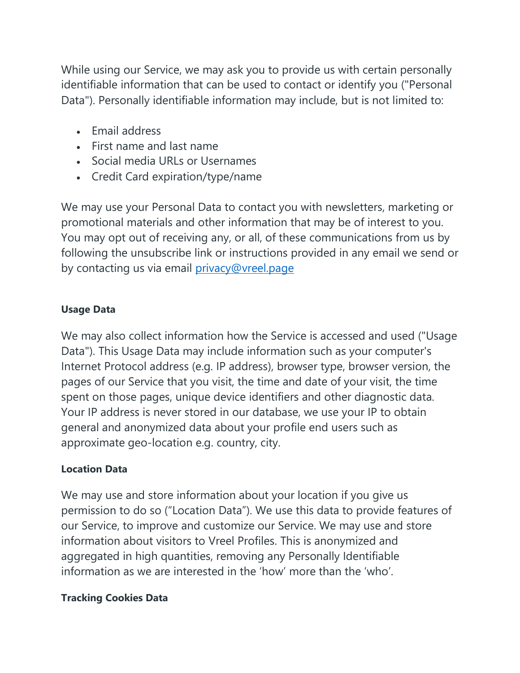While using our Service, we may ask you to provide us with certain personally identifiable information that can be used to contact or identify you ("Personal Data"). Personally identifiable information may include, but is not limited to:

- Email address
- First name and last name
- Social media URLs or Usernames
- Credit Card expiration/type/name

We may use your Personal Data to contact you with newsletters, marketing or promotional materials and other information that may be of interest to you. You may opt out of receiving any, or all, of these communications from us by following the unsubscribe link or instructions provided in any email we send or by contacting us via email [privacy@vreel.page](mailto:privacy@vreel.page)

#### **Usage Data**

We may also collect information how the Service is accessed and used ("Usage Data"). This Usage Data may include information such as your computer's Internet Protocol address (e.g. IP address), browser type, browser version, the pages of our Service that you visit, the time and date of your visit, the time spent on those pages, unique device identifiers and other diagnostic data. Your IP address is never stored in our database, we use your IP to obtain general and anonymized data about your profile end users such as approximate geo-location e.g. country, city.

#### **Location Data**

We may use and store information about your location if you give us permission to do so ("Location Data"). We use this data to provide features of our Service, to improve and customize our Service. We may use and store information about visitors to Vreel Profiles. This is anonymized and aggregated in high quantities, removing any Personally Identifiable information as we are interested in the 'how' more than the 'who'.

#### **Tracking Cookies Data**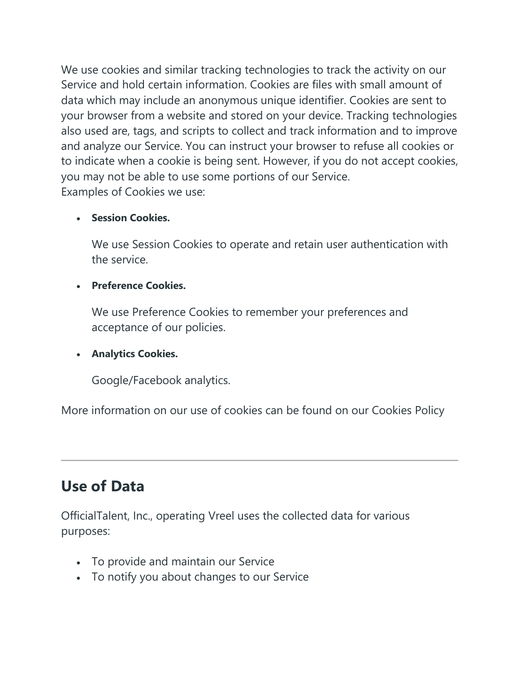We use cookies and similar tracking technologies to track the activity on our Service and hold certain information. Cookies are files with small amount of data which may include an anonymous unique identifier. Cookies are sent to your browser from a website and stored on your device. Tracking technologies also used are, tags, and scripts to collect and track information and to improve and analyze our Service. You can instruct your browser to refuse all cookies or to indicate when a cookie is being sent. However, if you do not accept cookies, you may not be able to use some portions of our Service. Examples of Cookies we use:

#### • **Session Cookies.**

We use Session Cookies to operate and retain user authentication with the service.

#### • **Preference Cookies.**

We use Preference Cookies to remember your preferences and acceptance of our policies.

#### • **Analytics Cookies.**

Google/Facebook analytics.

More information on our use of cookies can be found on our Cookies Policy

### **Use of Data**

OfficialTalent, Inc., operating Vreel uses the collected data for various purposes:

- To provide and maintain our Service
- To notify you about changes to our Service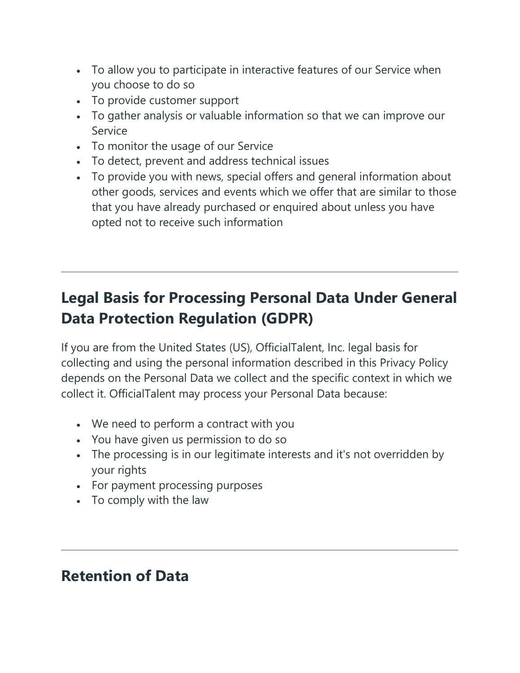- To allow you to participate in interactive features of our Service when you choose to do so
- To provide customer support
- To gather analysis or valuable information so that we can improve our Service
- To monitor the usage of our Service
- To detect, prevent and address technical issues
- To provide you with news, special offers and general information about other goods, services and events which we offer that are similar to those that you have already purchased or enquired about unless you have opted not to receive such information

# **Legal Basis for Processing Personal Data Under General Data Protection Regulation (GDPR)**

If you are from the United States (US), OfficialTalent, Inc. legal basis for collecting and using the personal information described in this Privacy Policy depends on the Personal Data we collect and the specific context in which we collect it. OfficialTalent may process your Personal Data because:

- We need to perform a contract with you
- You have given us permission to do so
- The processing is in our legitimate interests and it's not overridden by your rights
- For payment processing purposes
- To comply with the law

### **Retention of Data**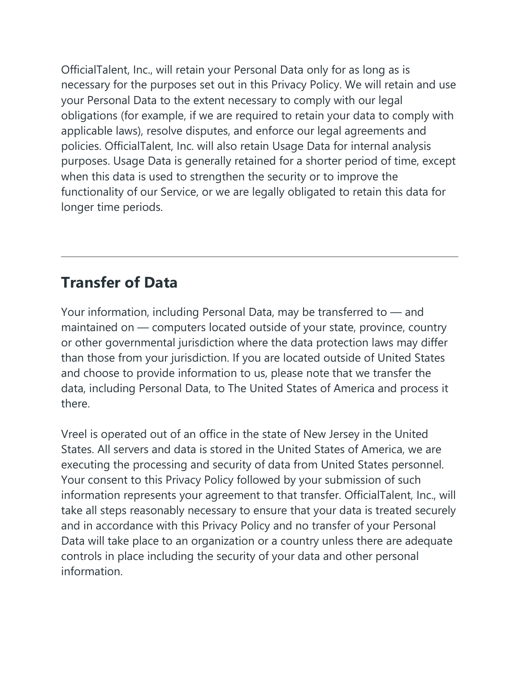OfficialTalent, Inc., will retain your Personal Data only for as long as is necessary for the purposes set out in this Privacy Policy. We will retain and use your Personal Data to the extent necessary to comply with our legal obligations (for example, if we are required to retain your data to comply with applicable laws), resolve disputes, and enforce our legal agreements and policies. OfficialTalent, Inc. will also retain Usage Data for internal analysis purposes. Usage Data is generally retained for a shorter period of time, except when this data is used to strengthen the security or to improve the functionality of our Service, or we are legally obligated to retain this data for longer time periods.

### **Transfer of Data**

Your information, including Personal Data, may be transferred to — and maintained on — computers located outside of your state, province, country or other governmental jurisdiction where the data protection laws may differ than those from your jurisdiction. If you are located outside of United States and choose to provide information to us, please note that we transfer the data, including Personal Data, to The United States of America and process it there.

Vreel is operated out of an office in the state of New Jersey in the United States. All servers and data is stored in the United States of America, we are executing the processing and security of data from United States personnel. Your consent to this Privacy Policy followed by your submission of such information represents your agreement to that transfer. OfficialTalent, Inc., will take all steps reasonably necessary to ensure that your data is treated securely and in accordance with this Privacy Policy and no transfer of your Personal Data will take place to an organization or a country unless there are adequate controls in place including the security of your data and other personal information.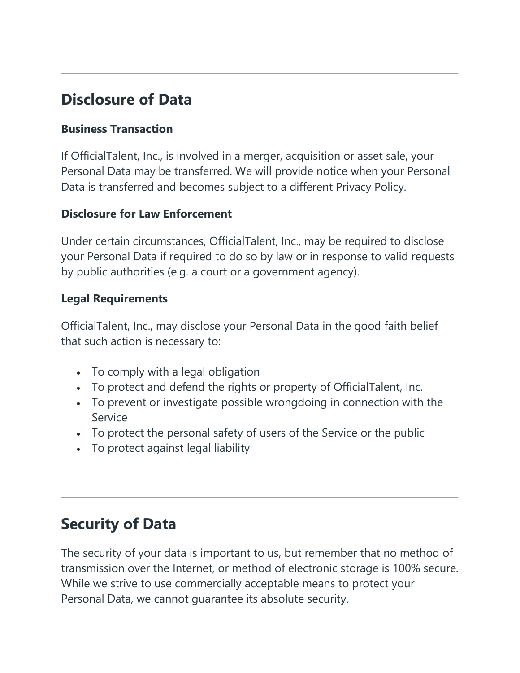# **Disclosure of Data**

#### **Business Transaction**

If OfficialTalent, Inc., is involved in a merger, acquisition or asset sale, your Personal Data may be transferred. We will provide notice when your Personal Data is transferred and becomes subject to a different Privacy Policy.

#### **Disclosure for Law Enforcement**

Under certain circumstances, OfficialTalent, Inc., may be required to disclose your Personal Data if required to do so by law or in response to valid requests by public authorities (e.g. a court or a government agency).

#### **Legal Requirements**

OfficialTalent, Inc., may disclose your Personal Data in the good faith belief that such action is necessary to:

- To comply with a legal obligation
- To protect and defend the rights or property of OfficialTalent, Inc.
- To prevent or investigate possible wrongdoing in connection with the Service
- To protect the personal safety of users of the Service or the public
- To protect against legal liability

### **Security of Data**

The security of your data is important to us, but remember that no method of transmission over the Internet, or method of electronic storage is 100% secure. While we strive to use commercially acceptable means to protect your Personal Data, we cannot guarantee its absolute security.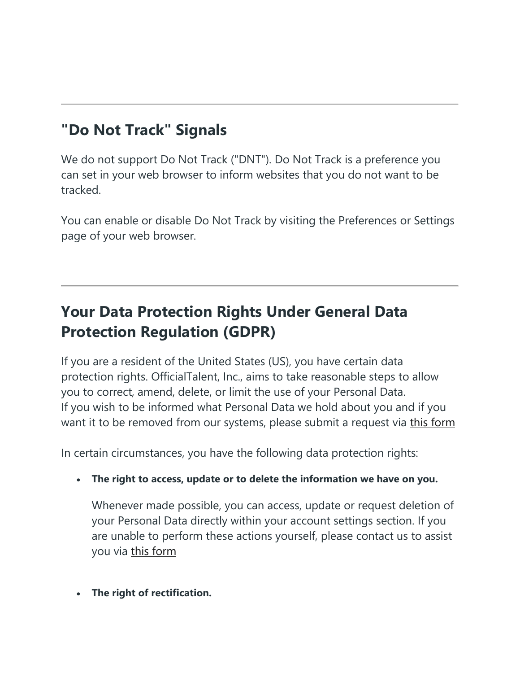# **"Do Not Track" Signals**

We do not support Do Not Track ("DNT"). Do Not Track is a preference you can set in your web browser to inform websites that you do not want to be tracked.

You can enable or disable Do Not Track by visiting the Preferences or Settings page of your web browser.

# **Your Data Protection Rights Under General Data Protection Regulation (GDPR)**

If you are a resident of the United States (US), you have certain data protection rights. OfficialTalent, Inc., aims to take reasonable steps to allow you to correct, amend, delete, or limit the use of your Personal Data. If you wish to be informed what Personal Data we hold about you and if you want it to be removed from our systems, please submit a request via [this form](https://vreel.page/legal/gdpr-form)

In certain circumstances, you have the following data protection rights:

• **The right to access, update or to delete the information we have on you.**

Whenever made possible, you can access, update or request deletion of your Personal Data directly within your account settings section. If you are unable to perform these actions yourself, please contact us to assist you via [this form](https://vreel.page/legal/gdpr-form)

• **The right of rectification.**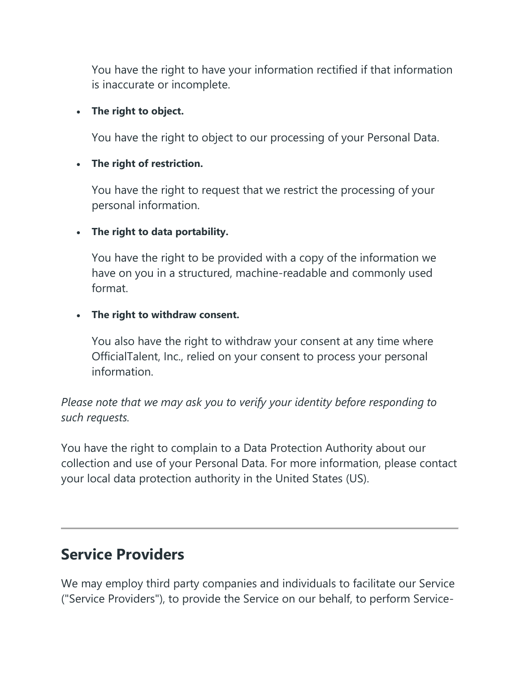You have the right to have your information rectified if that information is inaccurate or incomplete.

#### • **The right to object.**

You have the right to object to our processing of your Personal Data.

#### • **The right of restriction.**

You have the right to request that we restrict the processing of your personal information.

#### • **The right to data portability.**

You have the right to be provided with a copy of the information we have on you in a structured, machine-readable and commonly used format.

#### • **The right to withdraw consent.**

You also have the right to withdraw your consent at any time where OfficialTalent, Inc., relied on your consent to process your personal information.

#### *Please note that we may ask you to verify your identity before responding to such requests.*

You have the right to complain to a Data Protection Authority about our collection and use of your Personal Data. For more information, please contact your local data protection authority in the United States (US).

### **Service Providers**

We may employ third party companies and individuals to facilitate our Service ("Service Providers"), to provide the Service on our behalf, to perform Service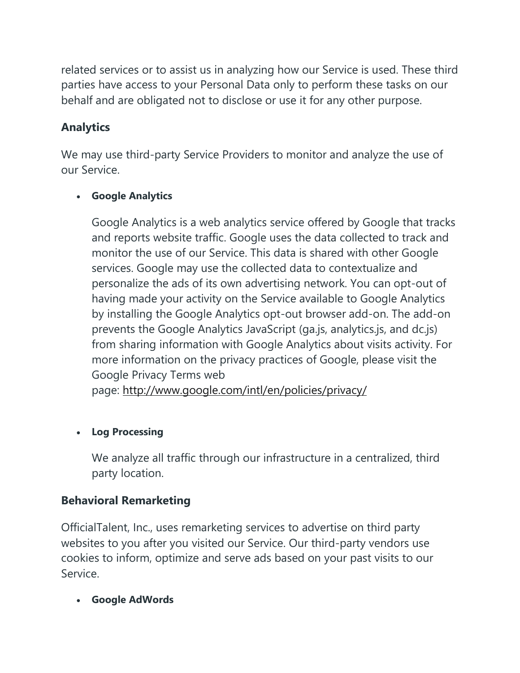related services or to assist us in analyzing how our Service is used. These third parties have access to your Personal Data only to perform these tasks on our behalf and are obligated not to disclose or use it for any other purpose.

#### **Analytics**

We may use third-party Service Providers to monitor and analyze the use of our Service.

#### • **Google Analytics**

Google Analytics is a web analytics service offered by Google that tracks and reports website traffic. Google uses the data collected to track and monitor the use of our Service. This data is shared with other Google services. Google may use the collected data to contextualize and personalize the ads of its own advertising network. You can opt-out of having made your activity on the Service available to Google Analytics by installing the Google Analytics opt-out browser add-on. The add-on prevents the Google Analytics JavaScript (ga.js, analytics.js, and dc.js) from sharing information with Google Analytics about visits activity. For more information on the privacy practices of Google, please visit the Google Privacy Terms web

page: <http://www.google.com/intl/en/policies/privacy/>

#### • **Log Processing**

We analyze all traffic through our infrastructure in a centralized, third party location.

#### **Behavioral Remarketing**

OfficialTalent, Inc., uses remarketing services to advertise on third party websites to you after you visited our Service. Our third-party vendors use cookies to inform, optimize and serve ads based on your past visits to our Service.

• **Google AdWords**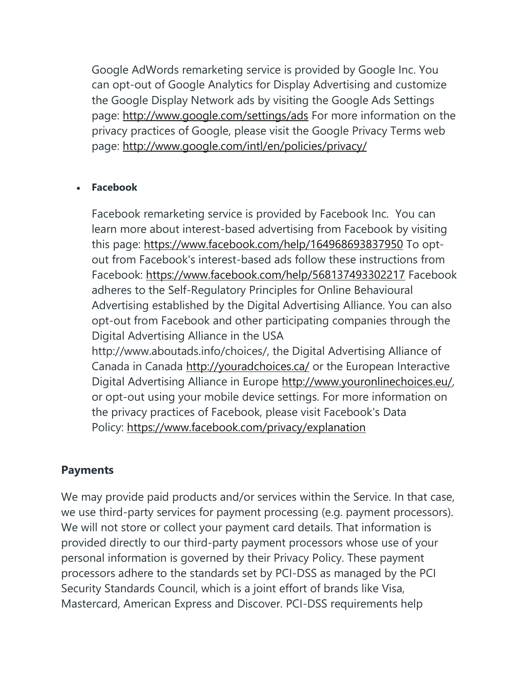Google AdWords remarketing service is provided by Google Inc. You can opt-out of Google Analytics for Display Advertising and customize the Google Display Network ads by visiting the Google Ads Settings page: <http://www.google.com/settings/ads> For more information on the privacy practices of Google, please visit the Google Privacy Terms web page: <http://www.google.com/intl/en/policies/privacy/>

#### • **Facebook**

Facebook remarketing service is provided by Facebook Inc. You can learn more about interest-based advertising from Facebook by visiting this page: <https://www.facebook.com/help/164968693837950> To optout from Facebook's interest-based ads follow these instructions from Facebook: <https://www.facebook.com/help/568137493302217> Facebook adheres to the Self-Regulatory Principles for Online Behavioural Advertising established by the Digital Advertising Alliance. You can also opt-out from Facebook and other participating companies through the Digital Advertising Alliance in the USA http://www.aboutads.info/choices/, the Digital Advertising Alliance of Canada in Canada <http://youradchoices.ca/> or the European Interactive Digital Advertising Alliance in Europe http://www.youronlinechoices.eu/ or opt-out using your mobile device settings. For more information on the privacy practices of Facebook, please visit Facebook's Data Policy: <https://www.facebook.com/privacy/explanation>

#### **Payments**

We may provide paid products and/or services within the Service. In that case, we use third-party services for payment processing (e.g. payment processors). We will not store or collect your payment card details. That information is provided directly to our third-party payment processors whose use of your personal information is governed by their Privacy Policy. These payment processors adhere to the standards set by PCI-DSS as managed by the PCI Security Standards Council, which is a joint effort of brands like Visa, Mastercard, American Express and Discover. PCI-DSS requirements help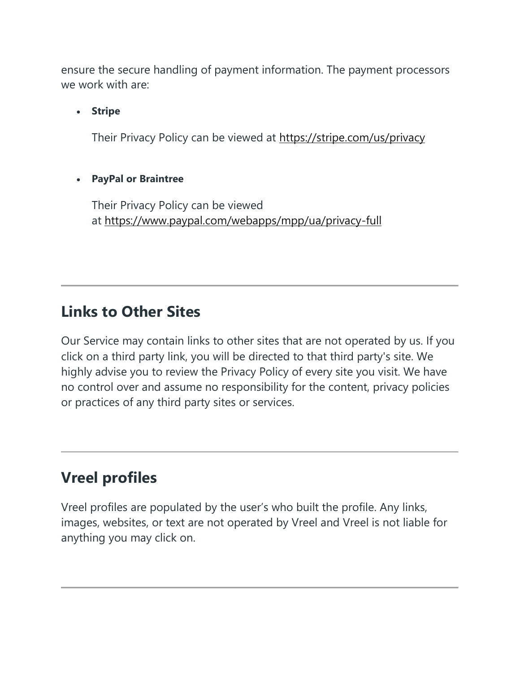ensure the secure handling of payment information. The payment processors we work with are:

• **Stripe**

Their Privacy Policy can be viewed at <https://stripe.com/us/privacy>

#### • **PayPal or Braintree**

Their Privacy Policy can be viewed at <https://www.paypal.com/webapps/mpp/ua/privacy-full>

### **Links to Other Sites**

Our Service may contain links to other sites that are not operated by us. If you click on a third party link, you will be directed to that third party's site. We highly advise you to review the Privacy Policy of every site you visit. We have no control over and assume no responsibility for the content, privacy policies or practices of any third party sites or services.

### **Vreel profiles**

Vreel profiles are populated by the user's who built the profile. Any links, images, websites, or text are not operated by Vreel and Vreel is not liable for anything you may click on.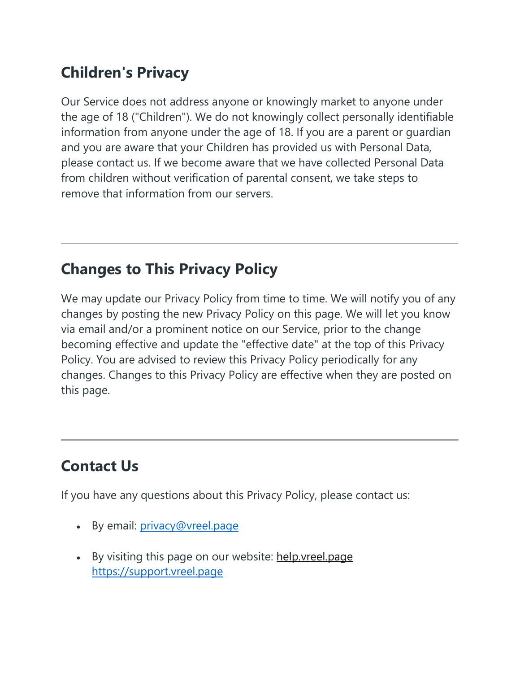# **Children's Privacy**

Our Service does not address anyone or knowingly market to anyone under the age of 18 ("Children"). We do not knowingly collect personally identifiable information from anyone under the age of 18. If you are a parent or guardian and you are aware that your Children has provided us with Personal Data, please contact us. If we become aware that we have collected Personal Data from children without verification of parental consent, we take steps to remove that information from our servers.

## **Changes to This Privacy Policy**

We may update our Privacy Policy from time to time. We will notify you of any changes by posting the new Privacy Policy on this page. We will let you know via email and/or a prominent notice on our Service, prior to the change becoming effective and update the "effective date" at the top of this Privacy Policy. You are advised to review this Privacy Policy periodically for any changes. Changes to this Privacy Policy are effective when they are posted on this page.

# **Contact Us**

If you have any questions about this Privacy Policy, please contact us:

- By email: *[privacy@vreel.page](mailto:privacy@vreel.page)*
- By visiting this page on our website: help. vreel.page [https://support.vreel.page](https://support.vreel.page/)